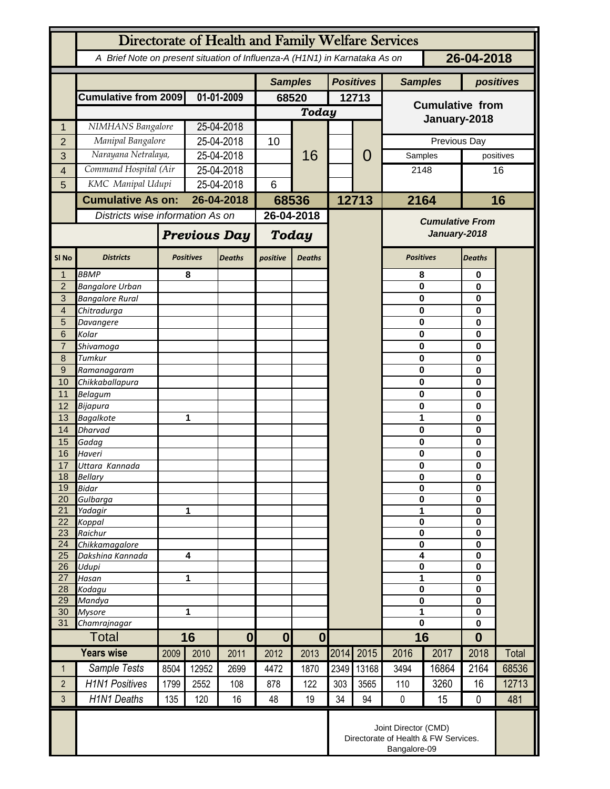| Directorate of Health and Family Welfare Services |                                                                                          |                         |                  |               |                              |               |                  |                        |                        |          |                            |             |  |
|---------------------------------------------------|------------------------------------------------------------------------------------------|-------------------------|------------------|---------------|------------------------------|---------------|------------------|------------------------|------------------------|----------|----------------------------|-------------|--|
|                                                   | 26-04-2018<br>A Brief Note on present situation of Influenza-A (H1N1) in Karnataka As on |                         |                  |               |                              |               |                  |                        |                        |          |                            |             |  |
|                                                   |                                                                                          |                         |                  |               | <b>Samples</b>               |               | <b>Positives</b> |                        | <b>Samples</b>         |          | positives                  |             |  |
|                                                   | <b>Cumulative from 2009</b>                                                              |                         | 01-01-2009       |               | 68520                        |               | 12713            |                        | <b>Cumulative from</b> |          |                            |             |  |
|                                                   |                                                                                          |                         |                  |               | Today                        |               |                  |                        |                        |          |                            |             |  |
| 1                                                 | NIMHANS Bangalore                                                                        |                         | 25-04-2018       |               |                              |               |                  |                        | January-2018           |          |                            |             |  |
| $\overline{2}$                                    |                                                                                          | Manipal Bangalore       |                  | 25-04-2018    |                              | 16            |                  | 0                      | Previous Day           |          |                            |             |  |
| 3                                                 | Narayana Netralaya,                                                                      |                         | 25-04-2018       |               |                              |               |                  |                        | Samples                |          |                            | positives   |  |
| 4                                                 | Command Hospital (Air                                                                    |                         |                  | 25-04-2018    |                              |               |                  |                        | 2148                   |          |                            | 16          |  |
| 5                                                 | KMC Manipal Udupi                                                                        |                         |                  | 25-04-2018    |                              |               |                  |                        |                        |          |                            |             |  |
|                                                   | <b>Cumulative As on:</b>                                                                 |                         |                  | 26-04-2018    |                              | 68536         |                  | 12713                  |                        | 2164     |                            | 16          |  |
|                                                   | Districts wise information As on                                                         |                         |                  | 26-04-2018    |                              |               |                  | <b>Cumulative From</b> |                        |          |                            |             |  |
|                                                   |                                                                                          | <b>Previous Day</b>     |                  | Today         |                              |               |                  | January-2018           |                        |          |                            |             |  |
| SI <sub>No</sub>                                  | <b>Districts</b>                                                                         |                         | <b>Positives</b> | <b>Deaths</b> | positive                     | <b>Deaths</b> |                  |                        | <b>Positives</b>       |          | Deaths                     |             |  |
| $\mathbf{1}$                                      | <b>BBMP</b>                                                                              |                         | 8                |               |                              |               |                  |                        | 8                      |          | 0                          |             |  |
| $\overline{2}$<br>$\overline{3}$                  | <b>Bangalore Urban</b><br><b>Bangalore Rural</b>                                         |                         |                  |               |                              |               |                  |                        | 0<br>0                 |          | 0                          |             |  |
| $\overline{4}$                                    | Chitradurga                                                                              |                         |                  |               |                              |               |                  |                        | 0                      |          |                            | 0<br>0<br>0 |  |
| 5                                                 | Davangere                                                                                |                         |                  |               |                              |               |                  |                        | 0                      |          |                            |             |  |
| 6                                                 | Kolar                                                                                    |                         |                  |               |                              |               |                  |                        | 0                      |          | 0                          |             |  |
| $\overline{7}$                                    | Shivamoga                                                                                |                         |                  |               |                              |               |                  |                        | 0                      |          | 0                          |             |  |
| 8                                                 | Tumkur                                                                                   |                         |                  |               |                              |               |                  |                        | 0                      |          | 0                          |             |  |
| $\overline{9}$                                    | Ramanagaram                                                                              |                         |                  |               |                              |               |                  |                        | 0                      |          | 0                          |             |  |
| 10<br>11                                          | Chikkaballapura<br>Belagum                                                               |                         |                  |               |                              |               |                  |                        | 0<br>0                 |          | 0<br>0                     |             |  |
| 12                                                | Bijapura                                                                                 |                         |                  |               |                              |               |                  |                        | 0                      |          | 0                          |             |  |
| 13                                                | <b>Bagalkote</b>                                                                         |                         |                  | 1             |                              |               |                  |                        | 1                      |          | 0                          |             |  |
| 14                                                | <b>Dharvad</b>                                                                           |                         |                  |               |                              |               |                  |                        | 0                      |          | 0                          |             |  |
| 15                                                | Gadag                                                                                    |                         |                  |               |                              |               |                  |                        |                        | $\bf{0}$ |                            |             |  |
| 16                                                | Haveri                                                                                   |                         |                  |               |                              |               |                  |                        | 0                      |          | $\mathbf 0$                |             |  |
| 17<br>18                                          | Uttara Kannada<br>Bellary                                                                |                         |                  |               |                              |               |                  |                        | $\bf{0}$<br>0          |          | $\bf{0}$<br>$\mathbf 0$    |             |  |
| 19                                                | <b>Bidar</b>                                                                             |                         |                  |               |                              |               |                  |                        | 0                      |          | $\mathbf 0$                |             |  |
| 20                                                | Gulbarga                                                                                 |                         |                  |               |                              |               |                  |                        | 0                      |          | $\bf{0}$                   |             |  |
| 21                                                | Yadagir                                                                                  |                         | 1                |               |                              |               |                  |                        | 1                      |          | $\bf{0}$                   |             |  |
| 22<br>23                                          | Koppal                                                                                   |                         |                  |               |                              |               |                  |                        | 0<br>0                 |          | $\mathbf 0$<br>$\mathbf 0$ |             |  |
| 24                                                | Raichur<br>Chikkamagalore                                                                |                         |                  |               |                              |               |                  |                        | 0                      |          | 0                          |             |  |
| 25                                                | Dakshina Kannada                                                                         | $\overline{\mathbf{4}}$ |                  |               |                              |               |                  |                        | 4                      |          | $\mathbf 0$                |             |  |
| 26                                                | Udupi                                                                                    |                         |                  |               |                              |               |                  |                        | $\pmb{0}$              |          | $\mathbf 0$                |             |  |
| 27<br>28                                          | Hasan                                                                                    | 1                       |                  |               |                              |               |                  |                        | 1                      |          | $\mathbf 0$                |             |  |
| 29                                                | Kodagu<br>Mandya                                                                         |                         |                  |               |                              |               |                  |                        | 0<br>0                 |          | 0<br>0                     |             |  |
| 30                                                | <b>Mysore</b>                                                                            | 1                       |                  |               |                              |               |                  |                        | 1                      |          | $\mathbf 0$                |             |  |
| 31                                                | Chamrajnagar                                                                             |                         |                  |               |                              |               |                  |                        | $\mathbf 0$            |          | $\mathbf 0$                |             |  |
|                                                   | <b>Total</b>                                                                             |                         | 16               |               | $\bf{0}$<br>$\boldsymbol{0}$ |               |                  |                        | 16                     |          | $\bf{0}$                   |             |  |
|                                                   | <b>Years wise</b>                                                                        | 2009                    | 2010             | 2011          | 2012                         | 2013          | 2014             | 2015                   | 2016                   | 2017     | 2018                       | Total       |  |
| $\mathbf{1}$                                      | Sample Tests                                                                             | 8504                    | 12952            | 2699          | 4472                         | 1870          | 2349             | 13168                  | 3494                   | 16864    | 2164                       | 68536       |  |
| $\overline{2}$                                    | <b>H1N1 Positives</b>                                                                    | 1799                    | 2552             | 108           | 878                          | 122           | 303              | 3565                   | 110                    | 3260     | 16                         | 12713       |  |
| 3                                                 | <b>H1N1 Deaths</b>                                                                       | 135                     | 120              | 16            | 48                           | 19            | 34               | 94                     | $\pmb{0}$              | 15       | $\mathbf 0$                | 481         |  |
|                                                   | Joint Director (CMD)<br>Directorate of Health & FW Services.<br>Bangalore-09             |                         |                  |               |                              |               |                  |                        |                        |          |                            |             |  |